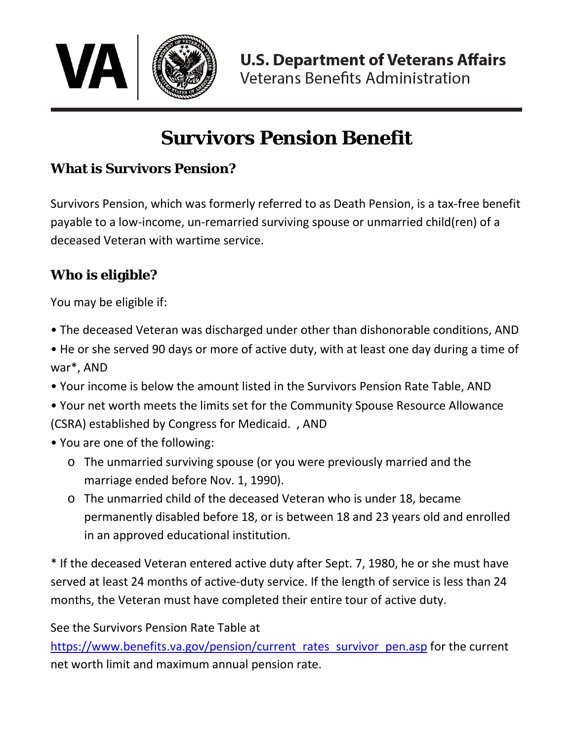

# **Survivors Pension Benefit**

### **What is Survivors Pension?**

Survivors Pension, which was formerly referred to as Death Pension, is a tax-free benefit payable to a low-income, un-remarried surviving spouse or unmarried child(ren) of a deceased Veteran with wartime service.

#### **Who is eligible?**

You may be eligible if:

- The deceased Veteran was discharged under other than dishonorable conditions, AND
- He or she served 90 days or more of active duty, with at least one day during a time of war\*, AND
- Your income is below the amount listed in the Survivors Pension Rate Table, AND
- Your net worth meets the limits set for the Community Spouse Resource Allowance (CSRA) established by Congress for Medicaid. , AND
- You are one of the following:
	- o The unmarried surviving spouse (or you were previously married and the marriage ended before Nov. 1, 1990).
	- o The unmarried child of the deceased Veteran who is under 18, became permanently disabled before 18, or is between 18 and 23 years old and enrolled in an approved educational institution.

\* If the deceased Veteran entered active duty after Sept. 7, 1980, he or she must have served at least 24 months of active-duty service. If the length of service is less than 24 months, the Veteran must have completed their entire tour of active duty.

See the Survivors Pension Rate Table at

[https://www.benefits.va.gov/pension/current\\_rates\\_survivor\\_pen.asp](https://www.benefits.va.gov/pension/current_rates_survivor_pen.asp) for the current net worth limit and maximum annual pension rate.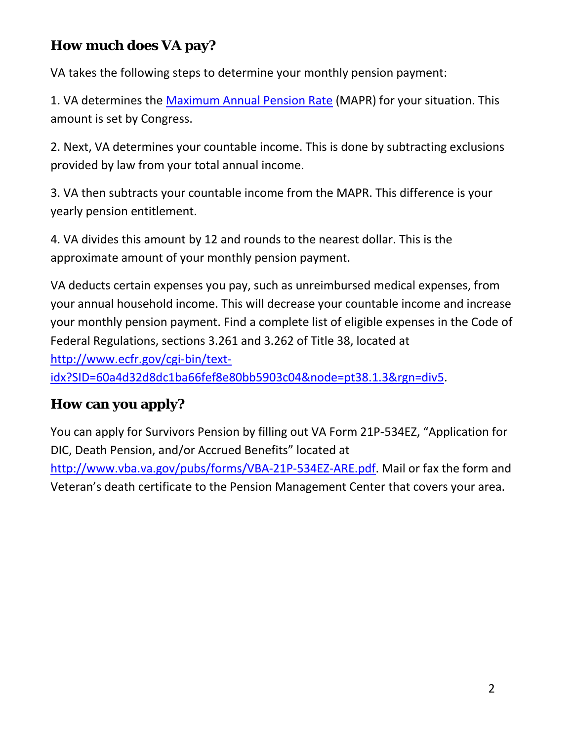## **How much does VA pay?**

VA takes the following steps to determine your monthly pension payment:

1. VA determines the [Maximum Annual Pension Rate](https://www.benefits.va.gov/pension/current_rates_survivor_pen.asp) (MAPR) for your situation. This amount is set by Congress.

2. Next, VA determines your countable income. This is done by subtracting exclusions provided by law from your total annual income.

3. VA then subtracts your countable income from the MAPR. This difference is your yearly pension entitlement.

4. VA divides this amount by 12 and rounds to the nearest dollar. This is the approximate amount of your monthly pension payment.

VA deducts certain expenses you pay, such as unreimbursed medical expenses, from your annual household income. This will decrease your countable income and increase your monthly pension payment. Find a complete list of eligible expenses in the Code of Federal Regulations, sections 3.261 and 3.262 of Title 38, located at [http://www.ecfr.gov/cgi-bin/text](https://www.ecfr.gov/cgi-bin/text-idx?SID=60a4d32d8dc1ba66fef8e80bb5903c04&node=pt38.1.3&rgn=div5)[idx?SID=60a4d32d8dc1ba66fef8e80bb5903c04&node=pt38.1.3&rgn=div5.](https://www.ecfr.gov/cgi-bin/text-idx?SID=60a4d32d8dc1ba66fef8e80bb5903c04&node=pt38.1.3&rgn=div5)

#### **How can you apply?**

You can apply for Survivors Pension by filling out VA Form 21P-534EZ, "Application for DIC, Death Pension, and/or Accrued Benefits" located at [http://www.vba.va.gov/pubs/forms/VBA-21P-534EZ-ARE.pdf.](https://www.vba.va.gov/pubs/forms/VBA-21P-534EZ-ARE.pdf) Mail or fax the form and Veteran's death certificate to the Pension Management Center that covers your area.